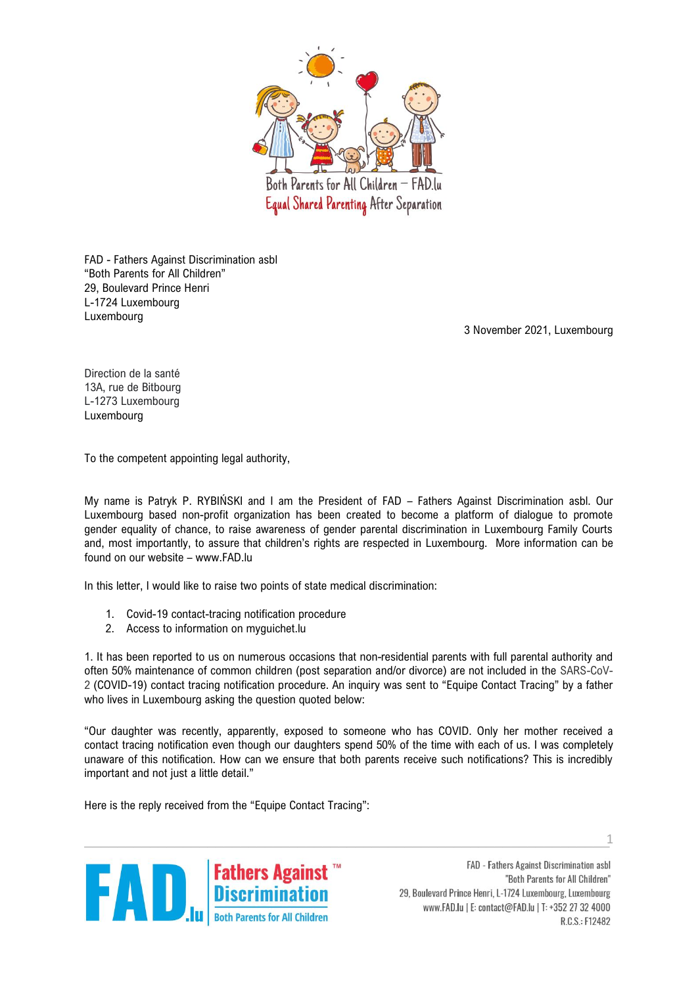

FAD - Fathers Against Discrimination asbl "Both Parents for All Children" 29, Boulevard Prince Henri L-1724 Luxembourg Luxembourg

3 November 2021, Luxembourg

Direction de la santé 13A, rue de Bitbourg L-1273 Luxembourg Luxembourg

To the competent appointing legal authority,

My name is Patryk P. RYBIŃSKI and I am the President of FAD – Fathers Against Discrimination asbl. Our Luxembourg based non-profit organization has been created to become a platform of dialogue to promote gender equality of chance, to raise awareness of gender parental discrimination in Luxembourg Family Courts and, most importantly, to assure that children's rights are respected in Luxembourg. More information can be found on our website – www.FAD.lu

In this letter, I would like to raise two points of state medical discrimination:

- 1. Covid-19 contact-tracing notification procedure
- 2. Access to information on myguichet.lu

1. It has been reported to us on numerous occasions that non-residential parents with full parental authority and often 50% maintenance of common children (post separation and/or divorce) are not included in the SARS-CoV-2 (COVID-19) contact tracing notification procedure. An inquiry was sent to "Equipe Contact Tracing" by a father who lives in Luxembourg asking the question quoted below:

"Our daughter was recently, apparently, exposed to someone who has COVID. Only her mother received a contact tracing notification even though our daughters spend 50% of the time with each of us. I was completely unaware of this notification. How can we ensure that both parents receive such notifications? This is incredibly important and not just a little detail."

Here is the reply received from the "Equipe Contact Tracing":



FAD - Fathers Against Discrimination asbl "Both Parents for All Children" 29, Boulevard Prince Henri, L-1724 Luxembourg, Luxembourg www.FAD.lu | E: contact@FAD.lu | T: +352 27 32 4000 R.C.S.: F12482

 $\mathcal{L}_\text{max}$  , and the contract of the contract of the contract of the contract of the contract of the contract of the contract of the contract of the contract of the contract of the contract of the contract of the contr 1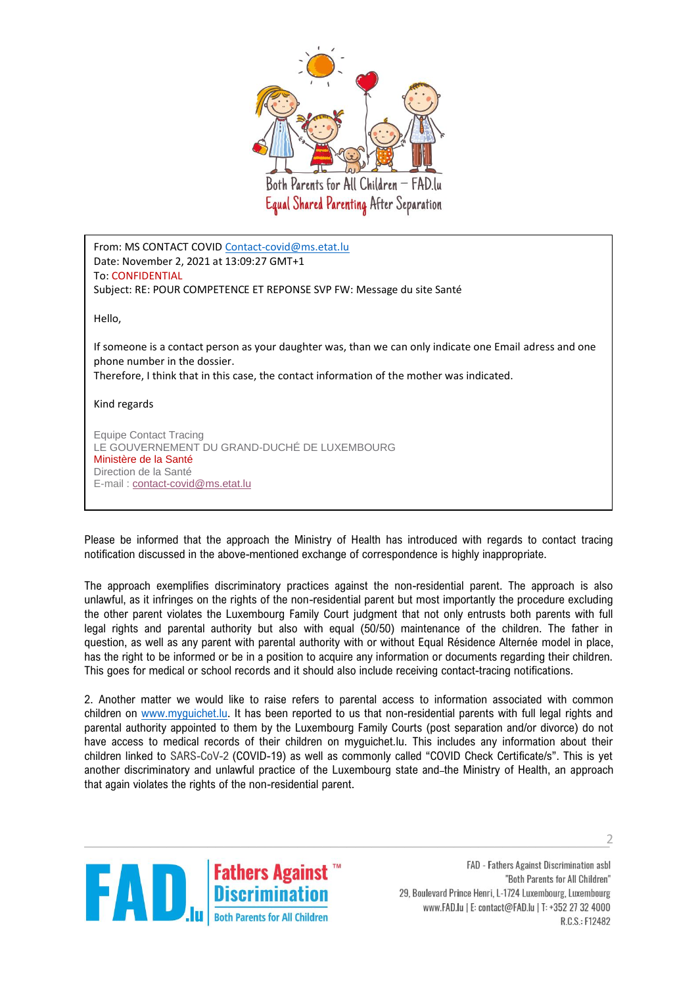

From: MS CONTACT COVI[D Contact-covid@ms.etat.lu](mailto:Contact-covid@ms.etat.lu) Date: November 2, 2021 at 13:09:27 GMT+1 To: CONFIDENTIAL Subject: RE: POUR COMPETENCE ET REPONSE SVP FW: Message du site Santé

Hello,

If someone is a contact person as your daughter was, than we can only indicate one Email adress and one phone number in the dossier.

Therefore, I think that in this case, the contact information of the mother was indicated.

Kind regards

Equipe Contact Tracing LE GOUVERNEMENT DU GRAND-DUCHÉ DE LUXEMBOURG Ministère de la Santé Direction de la Santé E-mail : [contact-covid@ms.etat.lu](mailto:contact-covid@ms.etat.lu)

Please be informed that the approach the Ministry of Health has introduced with regards to contact tracing notification discussed in the above-mentioned exchange of correspondence is highly inappropriate.

The approach exemplifies discriminatory practices against the non-residential parent. The approach is also unlawful, as it infringes on the rights of the non-residential parent but most importantly the procedure excluding the other parent violates the Luxembourg Family Court judgment that not only entrusts both parents with full legal rights and parental authority but also with equal (50/50) maintenance of the children. The father in question, as well as any parent with parental authority with or without Equal Résidence Alternée model in place, has the right to be informed or be in a position to acquire any information or documents regarding their children. This goes for medical or school records and it should also include receiving contact-tracing notifications.

2. Another matter we would like to raise refers to parental access to information associated with common children on [www.myguichet.lu.](http://www.myguichet.lu/) It has been reported to us that non-residential parents with full legal rights and parental authority appointed to them by the Luxembourg Family Courts (post separation and/or divorce) do not have access to medical records of their children on myguichet.lu. This includes any information about their children linked to SARS-CoV-2 (COVID-19) as well as commonly called "COVID Check Certificate/s". This is yet another discriminatory and unlawful practice of the Luxembourg state and-the Ministry of Health, an approach that again violates the rights of the non-residential parent.



FAD - Fathers Against Discrimination asbl "Both Parents for All Children" 29, Boulevard Prince Henri, L-1724 Luxembourg, Luxembourg www.FAD.lu | E: contact@FAD.lu | T: +352 27 32 4000 R.C.S.: F12482

 $\mathcal{L}$ 2